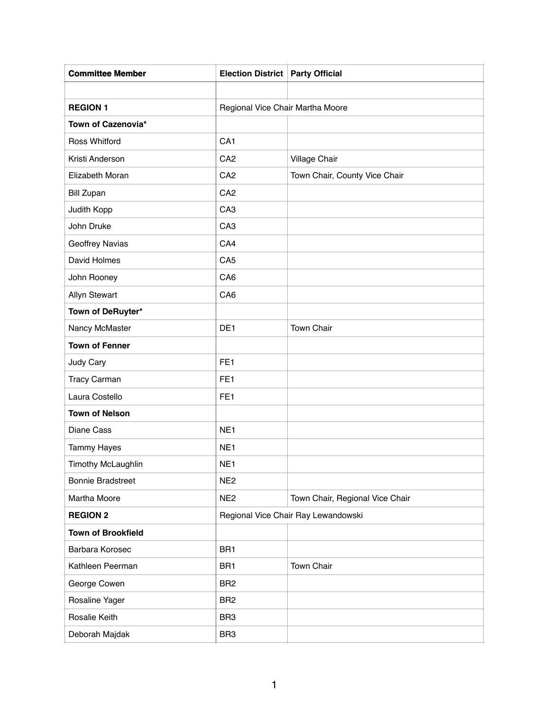| <b>Committee Member</b>   | <b>Election District   Party Official</b> |                                  |  |
|---------------------------|-------------------------------------------|----------------------------------|--|
|                           |                                           |                                  |  |
| <b>REGION 1</b>           |                                           | Regional Vice Chair Martha Moore |  |
| Town of Cazenovia*        |                                           |                                  |  |
| <b>Ross Whitford</b>      | CA <sub>1</sub>                           |                                  |  |
| Kristi Anderson           | CA <sub>2</sub>                           | <b>Village Chair</b>             |  |
| Elizabeth Moran           | CA <sub>2</sub>                           | Town Chair, County Vice Chair    |  |
| <b>Bill Zupan</b>         | CA <sub>2</sub>                           |                                  |  |
| Judith Kopp               | CA <sub>3</sub>                           |                                  |  |
| John Druke                | CA <sub>3</sub>                           |                                  |  |
| Geoffrey Navias           | CA4                                       |                                  |  |
| David Holmes              | CA <sub>5</sub>                           |                                  |  |
| John Rooney               | CA <sub>6</sub>                           |                                  |  |
| <b>Allyn Stewart</b>      | CA <sub>6</sub>                           |                                  |  |
| Town of DeRuyter*         |                                           |                                  |  |
| Nancy McMaster            | DE1                                       | <b>Town Chair</b>                |  |
| <b>Town of Fenner</b>     |                                           |                                  |  |
| Judy Cary                 | FE <sub>1</sub>                           |                                  |  |
| <b>Tracy Carman</b>       | FE <sub>1</sub>                           |                                  |  |
| Laura Costello            | FE <sub>1</sub>                           |                                  |  |
| <b>Town of Nelson</b>     |                                           |                                  |  |
| Diane Cass                | NE <sub>1</sub>                           |                                  |  |
| <b>Tammy Hayes</b>        | NE <sub>1</sub>                           |                                  |  |
| Timothy McLaughlin        | NE <sub>1</sub>                           |                                  |  |
| <b>Bonnie Bradstreet</b>  | NE <sub>2</sub>                           |                                  |  |
| Martha Moore              | NE <sub>2</sub>                           | Town Chair, Regional Vice Chair  |  |
| <b>REGION 2</b>           | Regional Vice Chair Ray Lewandowski       |                                  |  |
| <b>Town of Brookfield</b> |                                           |                                  |  |
| Barbara Korosec           | BR <sub>1</sub>                           |                                  |  |
| Kathleen Peerman          | BR <sub>1</sub>                           | Town Chair                       |  |
| George Cowen              | BR <sub>2</sub>                           |                                  |  |
| Rosaline Yager            | BR <sub>2</sub>                           |                                  |  |
| Rosalie Keith             | BR <sub>3</sub>                           |                                  |  |
| Deborah Majdak            | BR <sub>3</sub>                           |                                  |  |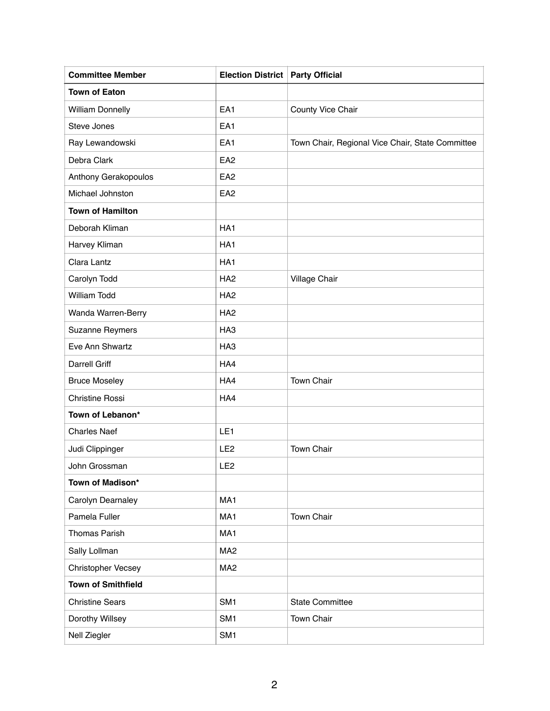| <b>Committee Member</b>   | <b>Election District   Party Official</b> |                                                  |
|---------------------------|-------------------------------------------|--------------------------------------------------|
| <b>Town of Eaton</b>      |                                           |                                                  |
| <b>William Donnelly</b>   | EA <sub>1</sub>                           | County Vice Chair                                |
| Steve Jones               | EA1                                       |                                                  |
| Ray Lewandowski           | EA <sub>1</sub>                           | Town Chair, Regional Vice Chair, State Committee |
| Debra Clark               | EA <sub>2</sub>                           |                                                  |
| Anthony Gerakopoulos      | EA <sub>2</sub>                           |                                                  |
| Michael Johnston          | EA <sub>2</sub>                           |                                                  |
| <b>Town of Hamilton</b>   |                                           |                                                  |
| Deborah Kliman            | HA <sub>1</sub>                           |                                                  |
| Harvey Kliman             | HA <sub>1</sub>                           |                                                  |
| Clara Lantz               | HA <sub>1</sub>                           |                                                  |
| Carolyn Todd              | HA <sub>2</sub>                           | Village Chair                                    |
| <b>William Todd</b>       | HA <sub>2</sub>                           |                                                  |
| Wanda Warren-Berry        | HA <sub>2</sub>                           |                                                  |
| <b>Suzanne Reymers</b>    | HA <sub>3</sub>                           |                                                  |
| Eve Ann Shwartz           | HA <sub>3</sub>                           |                                                  |
| <b>Darrell Griff</b>      | HA4                                       |                                                  |
| <b>Bruce Moseley</b>      | HA4                                       | <b>Town Chair</b>                                |
| <b>Christine Rossi</b>    | HA4                                       |                                                  |
| Town of Lebanon*          |                                           |                                                  |
| <b>Charles Naef</b>       | LE <sub>1</sub>                           |                                                  |
| Judi Clippinger           | LE <sub>2</sub>                           | <b>Town Chair</b>                                |
| John Grossman             | LE <sub>2</sub>                           |                                                  |
| Town of Madison*          |                                           |                                                  |
| Carolyn Dearnaley         | MA <sub>1</sub>                           |                                                  |
| Pamela Fuller             | MA1                                       | <b>Town Chair</b>                                |
| <b>Thomas Parish</b>      | MA1                                       |                                                  |
| Sally Lollman             | MA <sub>2</sub>                           |                                                  |
| Christopher Vecsey        | MA <sub>2</sub>                           |                                                  |
| <b>Town of Smithfield</b> |                                           |                                                  |
| <b>Christine Sears</b>    | SM <sub>1</sub>                           | <b>State Committee</b>                           |
| Dorothy Willsey           | SM <sub>1</sub>                           | <b>Town Chair</b>                                |
| Nell Ziegler              | SM <sub>1</sub>                           |                                                  |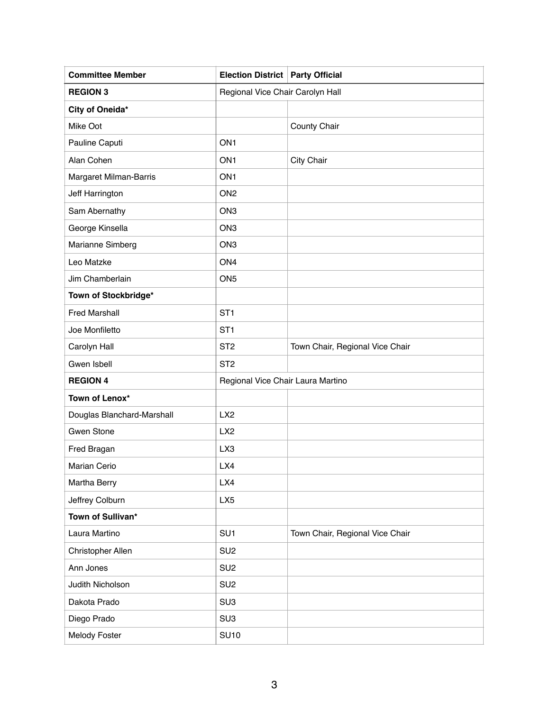| <b>Committee Member</b>    | Election District   Party Official |                                  |  |
|----------------------------|------------------------------------|----------------------------------|--|
| <b>REGION 3</b>            |                                    | Regional Vice Chair Carolyn Hall |  |
| City of Oneida*            |                                    |                                  |  |
| Mike Oot                   |                                    | <b>County Chair</b>              |  |
| Pauline Caputi             | ON <sub>1</sub>                    |                                  |  |
| Alan Cohen                 | ON <sub>1</sub>                    | <b>City Chair</b>                |  |
| Margaret Milman-Barris     | ON <sub>1</sub>                    |                                  |  |
| Jeff Harrington            | ON <sub>2</sub>                    |                                  |  |
| Sam Abernathy              | ON <sub>3</sub>                    |                                  |  |
| George Kinsella            | ON <sub>3</sub>                    |                                  |  |
| Marianne Simberg           | ON <sub>3</sub>                    |                                  |  |
| Leo Matzke                 | ON <sub>4</sub>                    |                                  |  |
| Jim Chamberlain            | ON <sub>5</sub>                    |                                  |  |
| Town of Stockbridge*       |                                    |                                  |  |
| <b>Fred Marshall</b>       | ST <sub>1</sub>                    |                                  |  |
| Joe Monfiletto             | ST <sub>1</sub>                    |                                  |  |
| Carolyn Hall               | ST <sub>2</sub>                    | Town Chair, Regional Vice Chair  |  |
| Gwen Isbell                | ST <sub>2</sub>                    |                                  |  |
| <b>REGION 4</b>            | Regional Vice Chair Laura Martino  |                                  |  |
| Town of Lenox*             |                                    |                                  |  |
| Douglas Blanchard-Marshall | LX <sub>2</sub>                    |                                  |  |
| <b>Gwen Stone</b>          | LX <sub>2</sub>                    |                                  |  |
| Fred Bragan                | LX3                                |                                  |  |
| Marian Cerio               | LX4                                |                                  |  |
| Martha Berry               | LX4                                |                                  |  |
| Jeffrey Colburn            | LX <sub>5</sub>                    |                                  |  |
| Town of Sullivan*          |                                    |                                  |  |
| Laura Martino              | SU <sub>1</sub>                    | Town Chair, Regional Vice Chair  |  |
| Christopher Allen          | SU <sub>2</sub>                    |                                  |  |
| Ann Jones                  | SU <sub>2</sub>                    |                                  |  |
| Judith Nicholson           | SU <sub>2</sub>                    |                                  |  |
| Dakota Prado               | SU <sub>3</sub>                    |                                  |  |
| Diego Prado                | SU <sub>3</sub>                    |                                  |  |
| Melody Foster              | <b>SU10</b>                        |                                  |  |